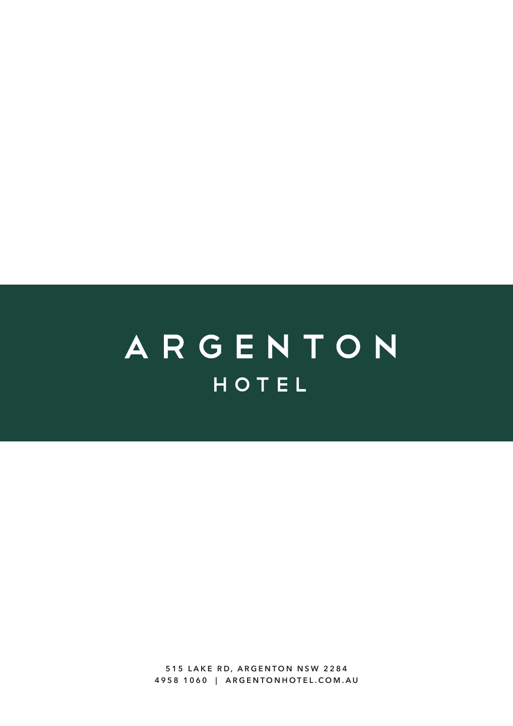ARGENTON HOTEL

> **515 LAKE RD, ARGENTON NSW 2284 4958 1060 | ARGENTONHOTEL.COM.AU**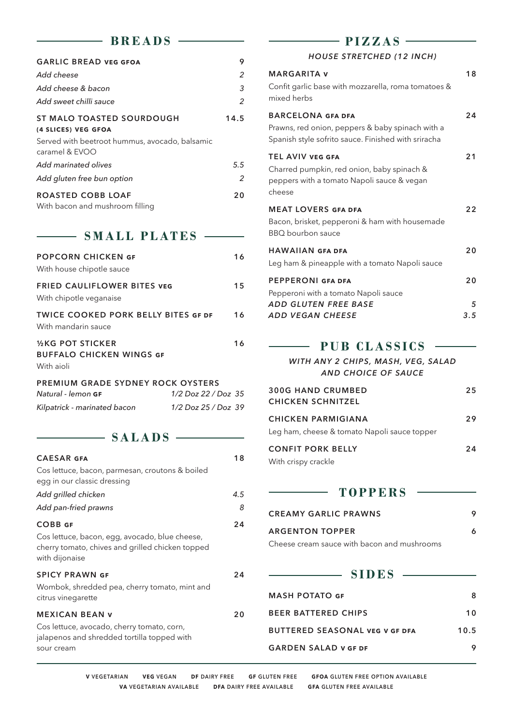#### BREADS —

 $\overline{\phantom{a}}$ 

| <b>GARLIC BREAD VEG GFOA</b>                                     | 9    |
|------------------------------------------------------------------|------|
| Add cheese                                                       | 2    |
| Add cheese & bacon                                               | 3    |
| Add sweet chilli sauce                                           | 2    |
| ST MALO TOASTED SOURDOUGH<br>(4 SLICES) VEG GFOA                 | 14.5 |
| Served with beetroot hummus, avocado, balsamic<br>caramel & EVOO |      |
| Add marinated olives                                             | 5.5  |
| Add gluten free bun option                                       | 2    |
| <b>ROASTED COBB LOAF</b><br>With bacon and mushroom filling      | 20   |

#### SMALL PLATES —

| <b>POPCORN CHICKEN GF</b><br>With house chipotle sauce                                    | 16 |
|-------------------------------------------------------------------------------------------|----|
| <b>FRIED CAULIFLOWER BITES VEG</b><br>With chipotle veganaise                             | 15 |
| <b>TWICE COOKED PORK BELLY BITES GF DF</b><br>With mandarin sauce                         | 16 |
| <b><i>V</i><sub>k</sub>G</b> POT STICKER<br><b>BUFFALO CHICKEN WINGS GF</b><br>With aioli | 16 |
| <b>PREMIUM GRADE SYDNEY ROCK OYSTERS</b>                                                  |    |

| Natural - lemon GF           | 1/2 Doz 22 / Doz 35 |  |
|------------------------------|---------------------|--|
| Kilpatrick - marinated bacon | 1/2 Doz 25 / Doz 39 |  |

SALADS —

| <b>CAESAR GFA</b>                                                                                                                      | 18  |
|----------------------------------------------------------------------------------------------------------------------------------------|-----|
| Cos lettuce, bacon, parmesan, croutons & boiled<br>egg in our classic dressing                                                         |     |
| Add grilled chicken                                                                                                                    | 4.5 |
| Add pan-fried prawns                                                                                                                   | 8   |
| <b>COBB GF</b><br>Cos lettuce, bacon, egg, avocado, blue cheese,<br>cherry tomato, chives and grilled chicken topped<br>with dijonaise | 24  |
| <b>SPICY PRAWN GF</b><br>Wombok, shredded pea, cherry tomato, mint and<br>citrus vinegarette                                           | 24  |
| <b>MEXICAN BEAN V</b><br>Cos lettuce, avocado, cherry tomato, corn,<br>jalapenos and shredded tortilla topped with<br>sour cream       | 20  |

#### $\rightharpoonup$  **PIZZAS**  $\rightharpoonup$

#### *HOUSE STRETCHED (12 INCH)*

| <b>MARGARITA v</b>                                                                                                            | 18  |
|-------------------------------------------------------------------------------------------------------------------------------|-----|
| Confit garlic base with mozzarella, roma tomatoes &<br>mixed herbs                                                            |     |
| <b>BARCELONA GFA DFA</b>                                                                                                      | 24  |
| Prawns, red onion, peppers & baby spinach with a<br>Spanish style sofrito sauce. Finished with sriracha                       |     |
| <b>TEL AVIV VEG GFA</b><br>Charred pumpkin, red onion, baby spinach &<br>peppers with a tomato Napoli sauce & vegan<br>cheese | 21  |
| <b>MEAT LOVERS GFA DFA</b>                                                                                                    | 22  |
| Bacon, brisket, pepperoni & ham with housemade<br>BBQ bourbon sauce                                                           |     |
| <b>HAWAIIAN GFA DFA</b>                                                                                                       | 20  |
| Leg ham & pineapple with a tomato Napoli sauce                                                                                |     |
| <b>PEPPERONI GFA DFA</b>                                                                                                      | 20  |
| Pepperoni with a tomato Napoli sauce                                                                                          |     |
| ADD GLUTEN FREE BASE                                                                                                          | 5   |
| ADD VEGAN CHEESE                                                                                                              | 3.5 |
| <b>PUB CLASSICS</b>                                                                                                           |     |

*WITH ANY 2 CHIPS, MASH, VEG, SALAD AND CHOICE OF SAUCE*

| <b>300G HAND CRUMBED</b><br><b>CHICKEN SCHNITZEL</b>               | 25 |
|--------------------------------------------------------------------|----|
| CHICKEN PARMIGIANA<br>Leg ham, cheese & tomato Napoli sauce topper | 29 |
| <b>CONFIT PORK BELLY</b><br>With crispy crackle                    | 24 |

#### **TOPPERS**

| <b>CREAMY GARLIC PRAWNS</b> |  |
|-----------------------------|--|
| <b>ARGENTON TOPPER</b>      |  |

Cheese cream sauce with bacon and mushrooms

#### **SIDES**

| <b>MASH POTATO GF</b>                 |      |
|---------------------------------------|------|
| <b>BEER BATTERED CHIPS</b>            | 10   |
| <b>BUTTERED SEASONAL VEG V GF DFA</b> | 10.5 |
| <b>GARDEN SALAD V GF DF</b>           |      |

**V VEGETARIAN VEG VEGAN DF DAIRY FREE GF GLUTEN FREE GFOA GLUTEN FREE OPTION AVAILABLE VA VEGETARIAN AVAILABLE DFA DAIRY FREE AVAILABLE GFA GLUTEN FREE AVAILABLE**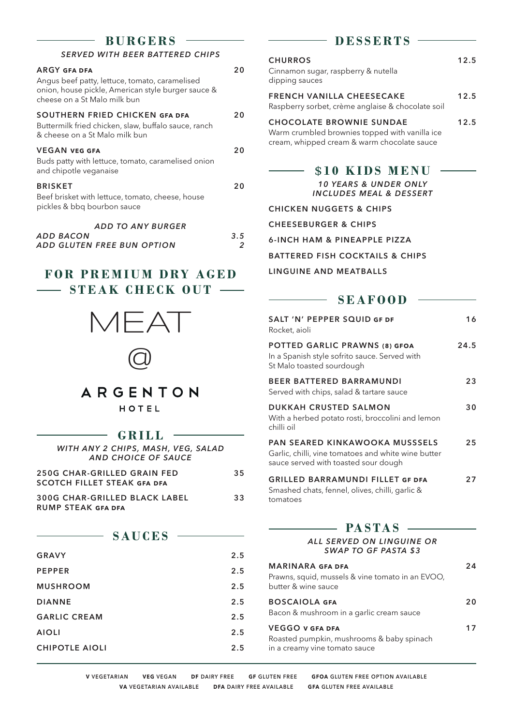#### **BURGERS**

#### *SERVED WITH BEER BATTERED CHIPS*

| <b>ARGY GFA DFA</b><br>Angus beef patty, lettuce, tomato, caramelised<br>onion, house pickle, American style burger sauce &<br>cheese on a St Malo milk bun | 20       |
|-------------------------------------------------------------------------------------------------------------------------------------------------------------|----------|
| SOUTHERN FRIED CHICKEN GFA DFA<br>Buttermilk fried chicken, slaw, buffalo sauce, ranch<br>& cheese on a St Malo milk bun                                    | 20       |
| <b>VEGAN VEG GFA</b><br>Buds patty with lettuce, tomato, caramelised onion<br>and chipotle veganaise                                                        | 20       |
| <b>BRISKET</b><br>Beef brisket with lettuce, tomato, cheese, house<br>pickles & bbq bourbon sauce                                                           | 20       |
| <b>ADD TO ANY BURGER</b><br><b>ADD BACON</b><br>ADD GLUTEN FREE BUN OPTION                                                                                  | 3.5<br>2 |

#### **FOR PREMIUM DRY AGED STEAK CHECK OUT —–**





### ARGENTON

HOTEL

#### **GRILL**

| WITH ANY 2 CHIPS, MASH, VEG, SALAD<br>AND CHOICE OF SAUCE         |    |
|-------------------------------------------------------------------|----|
| 250G CHAR-GRILLED GRAIN FED<br><b>SCOTCH FILLET STEAK GFA DFA</b> | 35 |
| <b>300G CHAR-GRILLED BLACK LABEL</b><br><b>RUMP STEAK GFA DFA</b> | 33 |

#### **SAUCES**

| <b>GRAVY</b>          | 2.5 |
|-----------------------|-----|
| <b>PEPPER</b>         | 2.5 |
| <b>MUSHROOM</b>       | 2.5 |
| <b>DIANNE</b>         | 2.5 |
| <b>GARLIC CREAM</b>   | 2.5 |
| <b>AIOLI</b>          | 2.5 |
| <b>CHIPOTLE AIOLI</b> | 2.5 |
|                       |     |

#### **D E S S E R T S**

| <b>CHURROS</b><br>Cinnamon sugar, raspberry & nutella<br>dipping sauces                                                          | 12.5 |
|----------------------------------------------------------------------------------------------------------------------------------|------|
| <b>FRENCH VANILLA CHEESECAKE</b><br>Raspberry sorbet, crème anglaise & chocolate soil                                            | 12.5 |
| <b>CHOCOLATE BROWNIE SUNDAE</b><br>Warm crumbled brownies topped with vanilla ice<br>cream, whipped cream & warm chocolate sauce | 12.5 |
| \$10 KIDS MENU<br><b>10 YEARS &amp; UNDER ONLY</b><br>INCLUDES MEAL & DESSERT                                                    |      |

**CHICKEN NUGGETS & CHIPS**

**CHEESEBURGER & CHIPS**

**6-INCH HAM & PINEAPPLE PIZZA**

**BATTERED FISH COCKTAILS & CHIPS**

#### **LINGUINE AND MEATBALLS**

| <b>SEAFOOD</b>                                                                                                                       |      |
|--------------------------------------------------------------------------------------------------------------------------------------|------|
| SALT 'N' PEPPER SOUID GF DF<br>Rocket, aioli                                                                                         | 16   |
| <b>POTTED GARLIC PRAWNS (8) GFOA</b><br>In a Spanish style sofrito sauce. Served with<br>St Malo toasted sourdough                   | 24.5 |
| <b>REER RATTERED RARRAMUNDI</b><br>Served with chips, salad & tartare sauce                                                          | 23   |
| <b>DUKKAH CRUSTED SALMON</b><br>With a herbed potato rosti, broccolini and lemon<br>chilli oil                                       | 30   |
| <b>PAN SEARED KINKAWOOKA MUSSSELS</b><br>Garlic, chilli, vine tomatoes and white wine butter<br>sauce served with toasted sour dough | 25   |
| <b>GRILLED BARRAMUNDI FILLET GF DFA</b><br>Smashed chats, fennel, olives, chilli, garlic &<br>tomatoes                               | 27   |

#### $-$  **PASTAS**  $-$

#### *ALL SERVED ON LINGUINE OR SWAP TO GF PASTA \$3*

| <b>MARINARA GFA DFA</b><br>Prawns, squid, mussels & vine tomato in an EVOO,<br>butter & wine sauce   | 2Δ |
|------------------------------------------------------------------------------------------------------|----|
| <b>BOSCAIOLA GFA</b><br>Bacon & mushroom in a garlic cream sauce                                     | 20 |
| <b>VEGGO V GFA DFA</b><br>Roasted pumpkin, mushrooms & baby spinach<br>in a creamy vine tomato sauce | 17 |

**V VEGETARIAN VEG VEGAN DF DAIRY FREE GF GLUTEN FREE GFOA GLUTEN FREE OPTION AVAILABLE VA VEGETARIAN AVAILABLE DFA DAIRY FREE AVAILABLE GFA GLUTEN FREE AVAILABLE**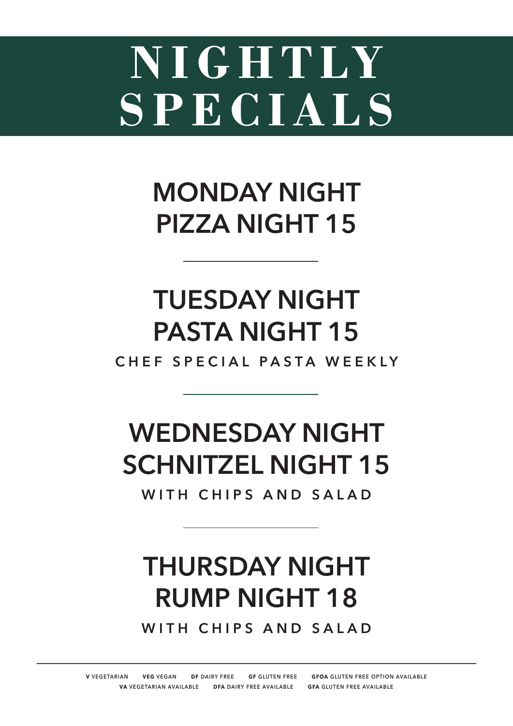# **NIGHTLY SPECIALS**

## **MONDAY NIGHT PIZZA NIGHT 15**

## **TUESDAY NIGHT PASTA NIGHT 15**

**CHEF SPECIAL PASTA WEEKLY** 

## **WEDNESDAY NIGHT SCHNITZEL NIGHT 15**

**WITH CHIPS AND SALAD**

## **THURSDAY NIGHT RUMP NIGHT 18**

**WITH CHIPS AND SALAD**